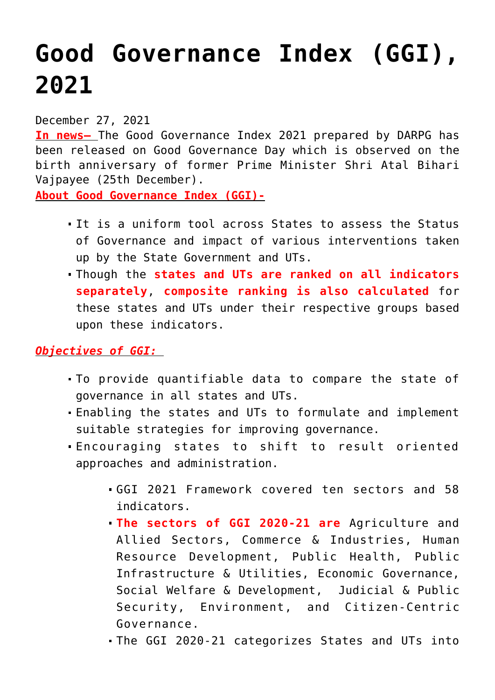# **[Good Governance Index \(GGI\),](https://journalsofindia.com/good-governance-index-ggi-2021/) [2021](https://journalsofindia.com/good-governance-index-ggi-2021/)**

December 27, 2021

**In news–** The Good Governance Index 2021 prepared by DARPG has been released on Good Governance Day which is observed on the birth anniversary of former Prime Minister Shri Atal Bihari Vajpayee (25th December).

**About Good Governance Index (GGI)-**

- It is a uniform tool across States to assess the Status of Governance and impact of various interventions taken up by the State Government and UTs.
- Though the **states and UTs are ranked on all indicators separately**, **composite ranking is also calculated** for these states and UTs under their respective groups based upon these indicators.

## *Objectives of GGI:*

- To provide quantifiable data to compare the state of governance in all states and UTs.
- Enabling the states and UTs to formulate and implement suitable strategies for improving governance.
- Encouraging states to shift to result oriented approaches and administration.
	- GGI 2021 Framework covered ten sectors and 58 indicators.
	- **The sectors of GGI 2020-21 are** Agriculture and Allied Sectors, Commerce & Industries, Human Resource Development, Public Health, Public Infrastructure & Utilities, Economic Governance, Social Welfare & Development, Judicial & Public Security, Environment, and Citizen-Centric Governance.
	- The GGI 2020-21 categorizes States and UTs into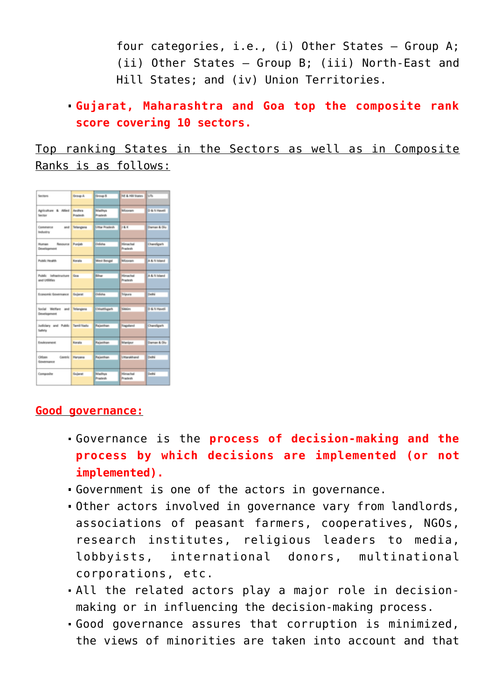four categories, i.e., (i) Other States – Group A; (ii) Other States – Group B; (iii) North-East and Hill States; and (iv) Union Territories.

## **Gujarat, Maharashtra and Goa top the composite rank score covering 10 sectors.**

Top ranking States in the Sectors as well as in Composite Ranks is as follows:

| Sections                                    | Group A                    | <b>Oroup B</b>           | NE & Hill States           | Ivn          |
|---------------------------------------------|----------------------------|--------------------------|----------------------------|--------------|
| Agriculture & Allied<br>Section             | Andhra<br><b>Practect:</b> | Madhya<br><b>Pradesh</b> | <b>Mizoram</b>             | D & N Haveli |
| Commerce<br>Industry                        | and Telangana              | <b>Ultar Pradesh</b>     | 18.K                       | Daman & Diu  |
| Human Resource Punjab<br>Development        |                            | Odisha                   | <b>Himachai</b><br>Pradesh | Chandigarh   |
| Public Health                               | Kerata                     | West Bengal              | <b>Mizoram</b>             | A & N Island |
| Public infrastructure Goa<br>and Urbidies   |                            | <b>bihar</b>             | Himachal<br>Pradesh        | A & N Island |
| Economic Governance Gujarat                 |                            | Odisha                   | Tripura                    | Delhá        |
| Social Welfare and Telangana<br>Development |                            | Chivattingarh            | Sildaim                    | D & N Haveli |
| Judiciary and Public Tamil Nadu<br>Safety   |                            | Rajasthan                | Nagsland                   | Chandigarh   |
| Environment                                 | Kerala                     | Rajasthan                | Manipur                    | Daman & Diu  |
| Cirilonn<br>Centric II<br>Governance        | Haryana                    | Rajasthan                | Umarakhand                 | Delhi        |
| Composite                                   | Gujarat                    | Madhya<br>Pradesh        | Himachal<br>Pradesh        | Delhi        |

#### **Good governance:**

- Governance is the **process of decision-making and the process by which decisions are implemented (or not implemented).**
- Government is one of the actors in governance.
- Other actors involved in governance vary from landlords, associations of peasant farmers, cooperatives, NGOs, research institutes, religious leaders to media, lobbyists, international donors, multinational corporations, etc.
- All the related actors play a major role in decisionmaking or in influencing the decision-making process.
- Good governance assures that corruption is minimized, the views of minorities are taken into account and that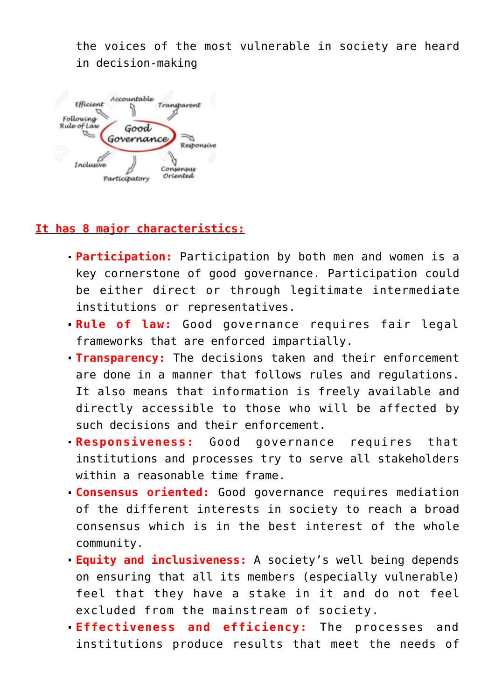the voices of the most vulnerable in society are heard in decision-making



### **It has 8 major characteristics:**

- **Participation:** Participation by both men and women is a key cornerstone of good governance. Participation could be either direct or through legitimate intermediate institutions or representatives.
- **Rule of law:** Good governance requires fair legal frameworks that are enforced impartially.
- **Transparency:** The decisions taken and their enforcement are done in a manner that follows rules and regulations. It also means that information is freely available and directly accessible to those who will be affected by such decisions and their enforcement.
- **Responsiveness:** Good governance requires that institutions and processes try to serve all stakeholders within a reasonable time frame.
- **Consensus oriented:** Good governance requires mediation of the different interests in society to reach a broad consensus which is in the best interest of the whole community.
- **Equity and inclusiveness:** A society's well being depends on ensuring that all its members (especially vulnerable) feel that they have a stake in it and do not feel excluded from the mainstream of society.
- **Effectiveness and efficiency:** The processes and institutions produce results that meet the needs of